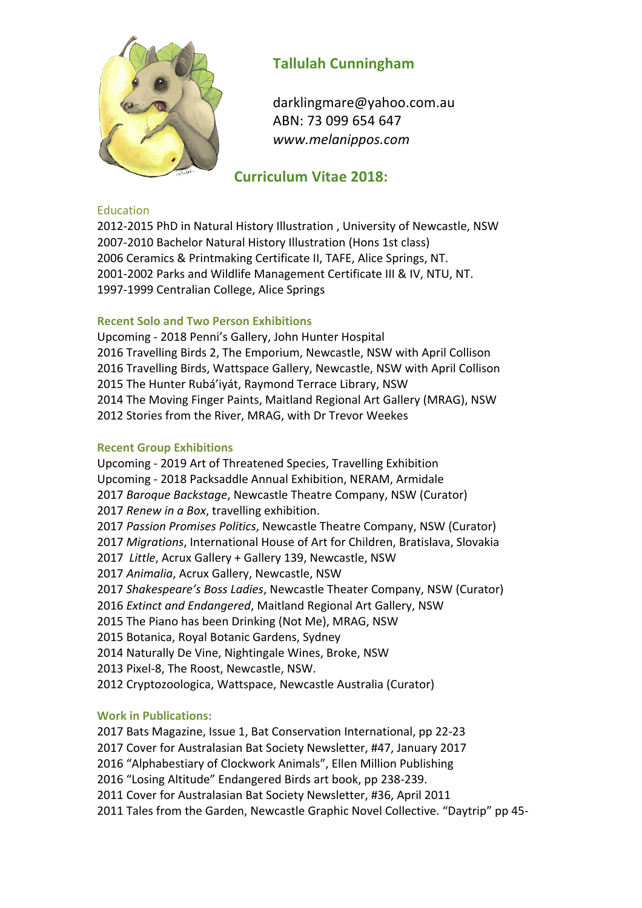

# **Tallulah Cunningham**

darklingmare@yahoo.com.au ABN: 73 099 654 647 *www.melanippos.com*

# **Curriculum Vitae 2018:**

#### Education

2012-2015 PhD in Natural History Illustration , University of Newcastle, NSW 2007-2010 Bachelor Natural History Illustration (Hons 1st class) 2006 Ceramics & Printmaking Certificate II, TAFE, Alice Springs, NT. 2001-2002 Parks and Wildlife Management Certificate III & IV, NTU, NT. 1997-1999 Centralian College, Alice Springs

### **Recent Solo and Two Person Exhibitions**

Upcoming - 2018 Penni's Gallery, John Hunter Hospital Travelling Birds 2, The Emporium, Newcastle, NSW with April Collison Travelling Birds, Wattspace Gallery, Newcastle, NSW with April Collison The Hunter Rubá'iyát, Raymond Terrace Library, NSW The Moving Finger Paints, Maitland Regional Art Gallery (MRAG), NSW Stories from the River, MRAG, with Dr Trevor Weekes

#### **Recent Group Exhibitions**

Upcoming - 2019 Art of Threatened Species, Travelling Exhibition Upcoming - 2018 Packsaddle Annual Exhibition, NERAM, Armidale 2017 Baroque Backstage, Newcastle Theatre Company, NSW (Curator) 2017 *Renew in a Box*, travelling exhibition. 2017 Passion Promises Politics, Newcastle Theatre Company, NSW (Curator) 2017 Migrations, International House of Art for Children, Bratislava, Slovakia 2017 Little, Acrux Gallery + Gallery 139, Newcastle, NSW 2017 Animalia, Acrux Gallery, Newcastle, NSW 2017 Shakespeare's Boss Ladies, Newcastle Theater Company, NSW (Curator) 2016 *Extinct and Endangered*, Maitland Regional Art Gallery, NSW 2015 The Piano has been Drinking (Not Me), MRAG, NSW 2015 Botanica, Royal Botanic Gardens, Sydney 2014 Naturally De Vine, Nightingale Wines, Broke, NSW 2013 Pixel-8, The Roost, Newcastle, NSW. 2012 Cryptozoologica, Wattspace, Newcastle Australia (Curator)

## **Work in Publications:**

 Bats Magazine, Issue 1, Bat Conservation International, pp 22-23 Cover for Australasian Bat Society Newsletter, #47, January 2017 "Alphabestiary of Clockwork Animals", Ellen Million Publishing "Losing Altitude" Endangered Birds art book, pp 238-239. Cover for Australasian Bat Society Newsletter, #36, April 2011 Tales from the Garden, Newcastle Graphic Novel Collective. "Daytrip" pp 45-